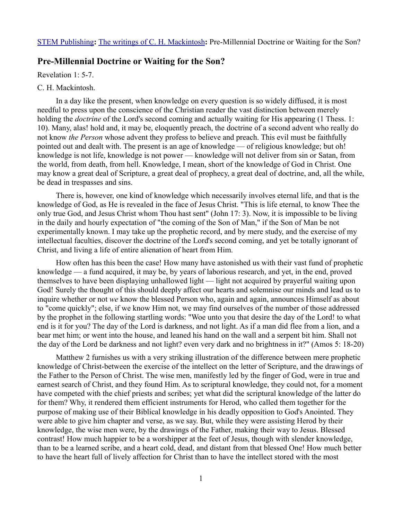## **Pre-Millennial Doctrine or Waiting for the Son?**

Revelation 1: 5-7.

## C. H. Mackintosh.

In a day like the present, when knowledge on every question is so widely diffused, it is most needful to press upon the conscience of the Christian reader the vast distinction between merely holding the *doctrine* of the Lord's second coming and actually waiting for His appearing (1 Thess. 1: 10). Many, alas! hold and, it may be, eloquently preach, the doctrine of a second advent who really do not know *the Person* whose advent they profess to believe and preach. This evil must be faithfully pointed out and dealt with. The present is an age of knowledge — of religious knowledge; but oh! knowledge is not life, knowledge is not power — knowledge will not deliver from sin or Satan, from the world, from death, from hell. Knowledge, I mean, short of the knowledge of God in Christ. One may know a great deal of Scripture, a great deal of prophecy, a great deal of doctrine, and, all the while, be dead in trespasses and sins.

There is, however, one kind of knowledge which necessarily involves eternal life, and that is the knowledge of God, as He is revealed in the face of Jesus Christ. "This is life eternal, to know Thee the only true God, and Jesus Christ whom Thou hast sent" (John 17: 3). Now, it is impossible to be living in the daily and hourly expectation of "the coming of the Son of Man," if the Son of Man be not experimentally known. I may take up the prophetic record, and by mere study, and the exercise of my intellectual faculties, discover the doctrine of the Lord's second coming, and yet be totally ignorant of Christ, and living a life of entire alienation of heart from Him.

How often has this been the case! How many have astonished us with their vast fund of prophetic knowledge — a fund acquired, it may be, by years of laborious research, and yet, in the end, proved themselves to have been displaying unhallowed light — light not acquired by prayerful waiting upon God! Surely the thought of this should deeply affect our hearts and solemnise our minds and lead us to inquire whether or not *we* know the blessed Person who, again and again, announces Himself as about to "come quickly"; else, if we know Him not, we may find ourselves of the number of those addressed by the prophet in the following startling words: "Woe unto you that desire the day of the Lord! to what end is it for you? The day of the Lord is darkness, and not light. As if a man did flee from a lion, and a bear met him; or went into the house, and leaned his hand on the wall and a serpent bit him. Shall not the day of the Lord be darkness and not light? even very dark and no brightness in it?" (Amos 5: 18-20)

Matthew 2 furnishes us with a very striking illustration of the difference between mere prophetic knowledge of Christ-between the exercise of the intellect on the letter of Scripture, and the drawings of the Father to the Person of Christ. The wise men, manifestly led by the finger of God, were in true and earnest search of Christ, and they found Him. As to scriptural knowledge, they could not, for a moment have competed with the chief priests and scribes; yet what did the scriptural knowledge of the latter do for them? Why, it rendered them efficient instruments for Herod, who called them together for the purpose of making use of their Biblical knowledge in his deadly opposition to God's Anointed. They were able to give him chapter and verse, as we say. But, while they were assisting Herod by their knowledge, the wise men were, by the drawings of the Father, making their way to Jesus. Blessed contrast! How much happier to be a worshipper at the feet of Jesus, though with slender knowledge, than to be a learned scribe, and a heart cold, dead, and distant from that blessed One! How much better to have the heart full of lively affection for Christ than to have the intellect stored with the most